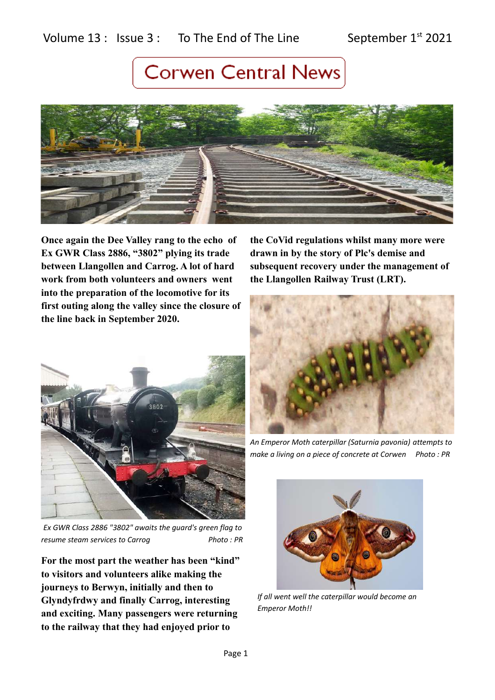### Volume  $13$  : Issue  $3$  : To The End of The Line September  $1^{st}$  2021

### **Corwen Central News**



**Once again the Dee Valley rang to the echo of Ex GWR Class 2886, "3802" plying its trade between Llangollen and Carrog. A lot of hard work from both volunteers and owners went into the preparation of the locomotive for its first outing along the valley since the closure of the line back in September 2020.** 



*Ex GWR Class 2886 "3802" awaits the guard's green flag to resume steam services to Carrog* Photo: PR

**For the most part the weather has been "kind" to visitors and volunteers alike making the journeys to Berwyn, initially and then to Glyndyfrdwy and finally Carrog, interesting and exciting. Many passengers were returning to the railway that they had enjoyed prior to** 

**the CoVid regulations whilst many more were drawn in by the story of Plc's demise and subsequent recovery under the management of the Llangollen Railway Trust (LRT).** 



*An Emperor Moth caterpillar (Saturnia pavonia) attempts to make a living on a piece of concrete at Corwen Photo : PR* 



*If all went well the caterpillar would become an Emperor Moth!!*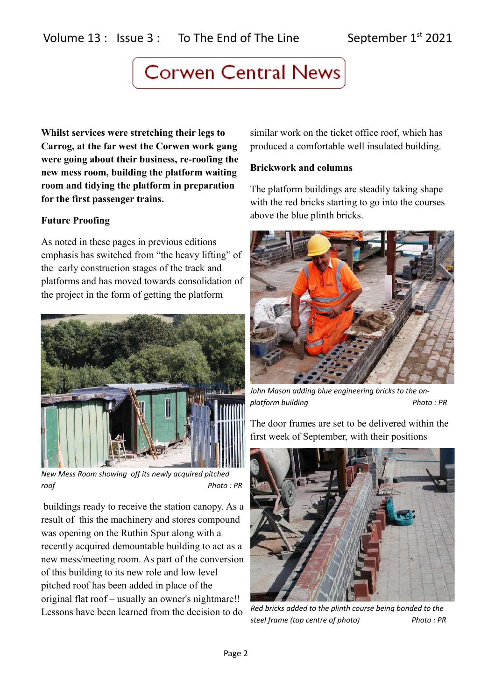**Whilst services were stretching their legs to Carrog, at the far west the Corwen work gang were going about their business, re-roofing the new mess room, building the platform waiting room and tidying the platform in preparation for the first passenger trains.**

### **Future Proofing**

As noted in these pages in previous editions emphasis has switched from "the heavy lifting" of the early construction stages of the track and platforms and has moved towards consolidation of the project in the form of getting the platform



*New Mess Room showing off its newly acquired pitched roof Photo : PR*

 buildings ready to receive the station canopy. As a result of this the machinery and stores compound was opening on the Ruthin Spur along with a recently acquired demountable building to act as a new mess/meeting room. As part of the conversion of this building to its new role and low level pitched roof has been added in place of the original flat roof – usually an owner's nightmare!! Lessons have been learned from the decision to do

similar work on the ticket office roof, which has produced a comfortable well insulated building.

#### **Brickwork and columns**

The platform buildings are steadily taking shape with the red bricks starting to go into the courses above the blue plinth bricks.



*John Mason adding blue engineering bricks to the onplatform building* Photo: PR

The door frames are set to be delivered within the first week of September, with their positions



*Red bricks added to the plinth course being bonded to the steel frame (top centre of photo) Photo : PR*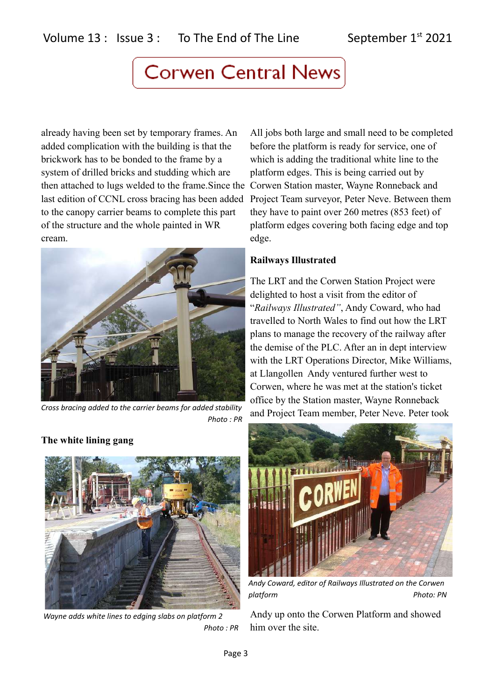already having been set by temporary frames. An added complication with the building is that the brickwork has to be bonded to the frame by a system of drilled bricks and studding which are then attached to lugs welded to the frame.Since the Corwen Station master, Wayne Ronneback and last edition of CCNL cross bracing has been added to the canopy carrier beams to complete this part of the structure and the whole painted in WR cream.



*Cross bracing added to the carrier beams for added stability Photo : PR*

**The white lining gang**



*Wayne adds white lines to edging slabs on platform 2 Photo : PR*

All jobs both large and small need to be completed before the platform is ready for service, one of which is adding the traditional white line to the platform edges. This is being carried out by Project Team surveyor, Peter Neve. Between them they have to paint over 260 metres (853 feet) of platform edges covering both facing edge and top edge.

#### **Railways Illustrated**

The LRT and the Corwen Station Project were delighted to host a visit from the editor of "*Railways Illustrated"*, Andy Coward, who had travelled to North Wales to find out how the LRT plans to manage the recovery of the railway after the demise of the PLC. After an in dept interview with the LRT Operations Director, Mike Williams, at Llangollen Andy ventured further west to Corwen, where he was met at the station's ticket office by the Station master, Wayne Ronneback and Project Team member, Peter Neve. Peter took



*Andy Coward, editor of Railways Illustrated on the Corwen platform Photo: PN*

Andy up onto the Corwen Platform and showed him over the site.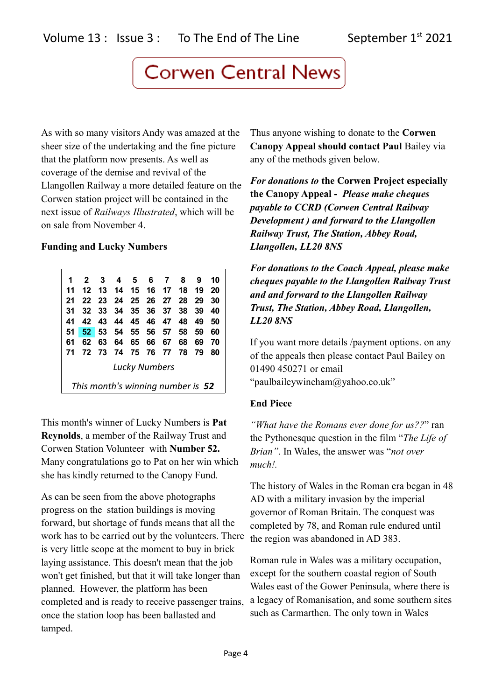As with so many visitors Andy was amazed at the sheer size of the undertaking and the fine picture that the platform now presents. As well as coverage of the demise and revival of the Llangollen Railway a more detailed feature on the Corwen station project will be contained in the next issue of *Railways Illustrated*, which will be on sale from November 4.

#### **Funding and Lucky Numbers**

| 1                                 | $\mathbf{2}$ | 3     |    | 4 5               |  | 6 7   | 8    | 9   | 10 |
|-----------------------------------|--------------|-------|----|-------------------|--|-------|------|-----|----|
| 11                                | 12           |       |    | 13 14 15 16 17 18 |  |       |      | -19 | 20 |
| 21                                |              | 22 23 |    | 24 25 26 27       |  |       | - 28 | 29  | 30 |
| 31                                |              | 32 33 |    | 34 35 36 37       |  |       | 38   | 39  | 40 |
| 41                                |              | 42 43 |    | 44 45 46 47 48    |  |       |      | 49  | 50 |
| 51                                | 52 53        |       |    | 54 55 56 57 58    |  |       |      | 59  | 60 |
| 61                                | 62           | 63    | 64 | 65                |  | 66 67 | 68   | 69  | 70 |
| 71                                |              | 72 73 | 74 | 75 76 77          |  |       | - 78 | 79  | 80 |
| <b>Lucky Numbers</b>              |              |       |    |                   |  |       |      |     |    |
| This month's winning number is 52 |              |       |    |                   |  |       |      |     |    |

This month's winner of Lucky Numbers is **Pat Reynolds**, a member of the Railway Trust and Corwen Station Volunteer with **Number 52.**  Many congratulations go to Pat on her win which she has kindly returned to the Canopy Fund.

As can be seen from the above photographs progress on the station buildings is moving forward, but shortage of funds means that all the work has to be carried out by the volunteers. There is very little scope at the moment to buy in brick laying assistance. This doesn't mean that the job won't get finished, but that it will take longer than planned. However, the platform has been completed and is ready to receive passenger trains, once the station loop has been ballasted and tamped.

Thus anyone wishing to donate to the **Corwen Canopy Appeal should contact Paul** Bailey via any of the methods given below.

*For donations to* **the Corwen Project especially the Canopy Appeal -** *Please make cheques payable to CCRD (Corwen Central Railway Development ) and forward to the Llangollen Railway Trust, The Station, Abbey Road, Llangollen, LL20 8NS*

*For donations to the Coach Appeal, please make cheques payable to the Llangollen Railway Trust and and forward to the Llangollen Railway Trust, The Station, Abbey Road, Llangollen, LL20 8NS*

If you want more details /payment options. on any of the appeals then please contact Paul Bailey on 01490 450271 or email "paulbaileywincham@yahoo.co.uk"

#### **End Piece**

*"What have the Romans ever done for us??*" ran the Pythonesque question in the film "*The Life of Brian"*. In Wales, the answer was "*not over much!.* 

The history of Wales in the Roman era began in 48 AD with a military invasion by the imperial governor of Roman Britain. The conquest was completed by 78, and Roman rule endured until the region was abandoned in AD 383.

Roman rule in Wales was a military occupation, except for the southern coastal region of South Wales east of the Gower Peninsula, where there is a legacy of Romanisation, and some southern sites such as Carmarthen. The only town in Wales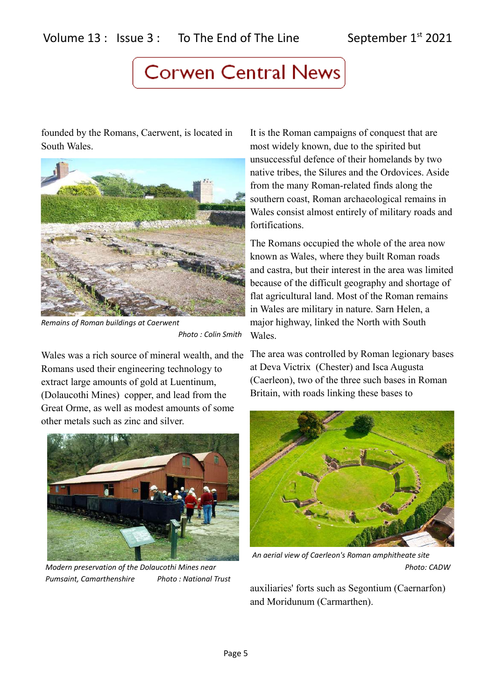founded by the Romans, Caerwent, is located in South Wales.



*Remains of Roman buildings at Caerwent Photo : Colin Smith*

Wales was a rich source of mineral wealth, and the Romans used their engineering technology to extract large amounts of gold at Luentinum, (Dolaucothi Mines) copper, and lead from the Great Orme, as well as modest amounts of some other metals such as zinc and silver.



*Pumsaint, Camarthenshire Photo : National Trust*

It is the Roman campaigns of conquest that are most widely known, due to the spirited but unsuccessful defence of their homelands by two native tribes, the Silures and the Ordovices. Aside from the many Roman-related finds along the southern coast, Roman archaeological remains in Wales consist almost entirely of military roads and fortifications.

The Romans occupied the whole of the area now known as Wales, where they built Roman roads and castra, but their interest in the area was limited because of the difficult geography and shortage of flat agricultural land. Most of the Roman remains in Wales are military in nature. Sarn Helen, a major highway, linked the North with South Wales.

The area was controlled by Roman legionary bases at Deva Victrix (Chester) and Isca Augusta (Caerleon), two of the three such bases in Roman Britain, with roads linking these bases to



*An aerial view of Caerleon's Roman amphitheate site Modern preservation of the Dolaucothi Mines near* Photo: CADW *Photo: CADW* 

auxiliaries' forts such as Segontium (Caernarfon) and Moridunum (Carmarthen).